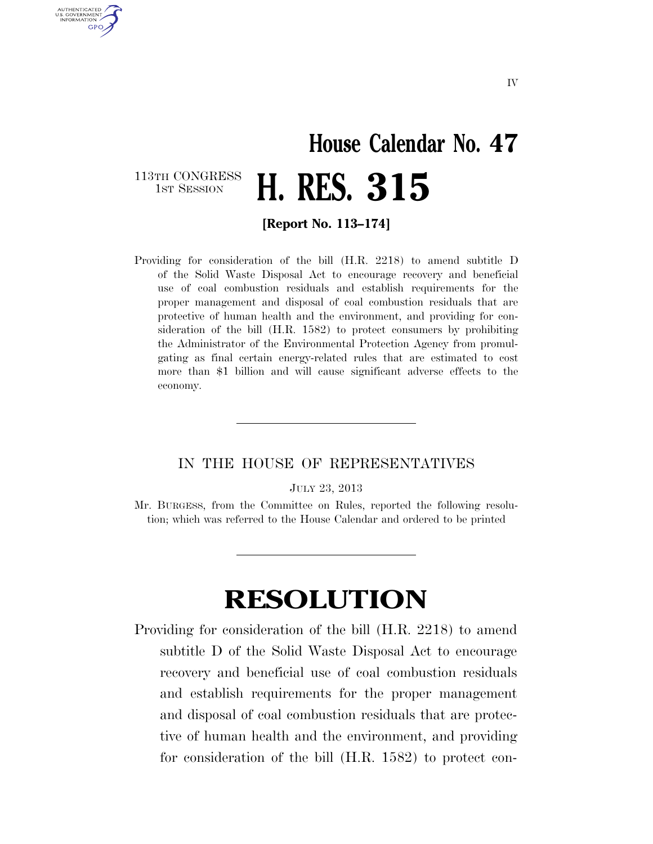## **House Calendar No. 47**  H. RES. 315

113TH CONGRESS<br>1st Session

U.S. GOVERNMENT **GPO** 

**[Report No. 113–174]** 

Providing for consideration of the bill (H.R. 2218) to amend subtitle D of the Solid Waste Disposal Act to encourage recovery and beneficial use of coal combustion residuals and establish requirements for the proper management and disposal of coal combustion residuals that are protective of human health and the environment, and providing for consideration of the bill (H.R. 1582) to protect consumers by prohibiting the Administrator of the Environmental Protection Agency from promulgating as final certain energy-related rules that are estimated to cost more than \$1 billion and will cause significant adverse effects to the economy.

## IN THE HOUSE OF REPRESENTATIVES

JULY 23, 2013

Mr. BURGESS, from the Committee on Rules, reported the following resolution; which was referred to the House Calendar and ordered to be printed

## **RESOLUTION**

Providing for consideration of the bill (H.R. 2218) to amend subtitle D of the Solid Waste Disposal Act to encourage recovery and beneficial use of coal combustion residuals and establish requirements for the proper management and disposal of coal combustion residuals that are protective of human health and the environment, and providing for consideration of the bill (H.R. 1582) to protect con-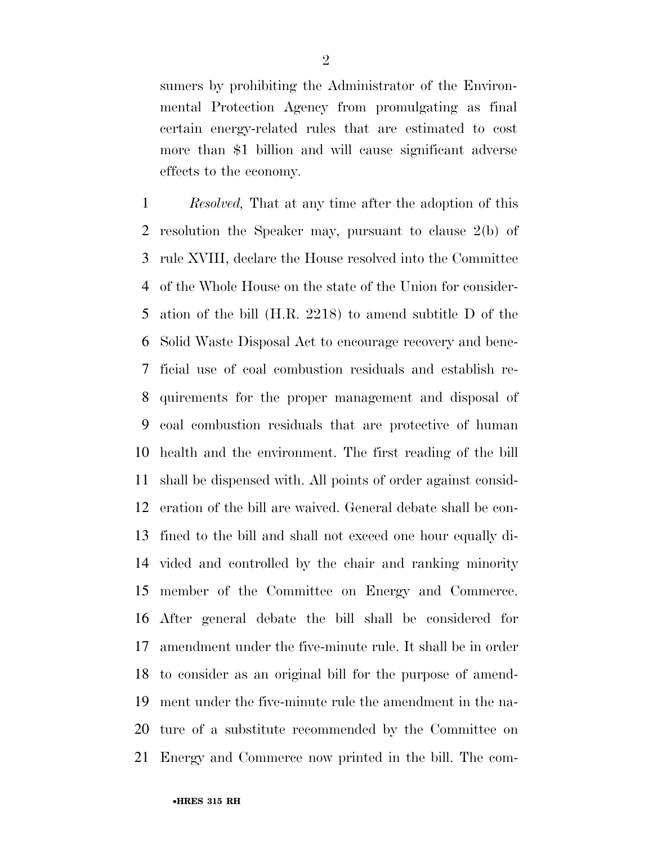sumers by prohibiting the Administrator of the Environmental Protection Agency from promulgating as final certain energy-related rules that are estimated to cost more than \$1 billion and will cause significant adverse effects to the economy.

 *Resolved,* That at any time after the adoption of this resolution the Speaker may, pursuant to clause 2(b) of rule XVIII, declare the House resolved into the Committee of the Whole House on the state of the Union for consider- ation of the bill (H.R. 2218) to amend subtitle D of the Solid Waste Disposal Act to encourage recovery and bene- ficial use of coal combustion residuals and establish re- quirements for the proper management and disposal of coal combustion residuals that are protective of human health and the environment. The first reading of the bill shall be dispensed with. All points of order against consid- eration of the bill are waived. General debate shall be con- fined to the bill and shall not exceed one hour equally di- vided and controlled by the chair and ranking minority member of the Committee on Energy and Commerce. After general debate the bill shall be considered for amendment under the five-minute rule. It shall be in order to consider as an original bill for the purpose of amend- ment under the five-minute rule the amendment in the na- ture of a substitute recommended by the Committee on Energy and Commerce now printed in the bill. The com-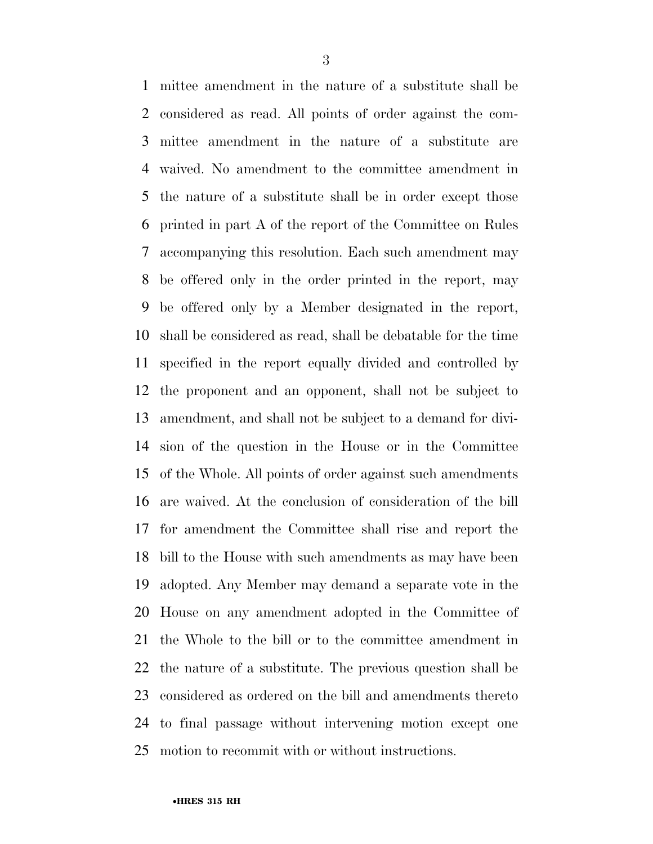mittee amendment in the nature of a substitute shall be considered as read. All points of order against the com- mittee amendment in the nature of a substitute are waived. No amendment to the committee amendment in the nature of a substitute shall be in order except those printed in part A of the report of the Committee on Rules accompanying this resolution. Each such amendment may be offered only in the order printed in the report, may be offered only by a Member designated in the report, shall be considered as read, shall be debatable for the time specified in the report equally divided and controlled by the proponent and an opponent, shall not be subject to amendment, and shall not be subject to a demand for divi- sion of the question in the House or in the Committee of the Whole. All points of order against such amendments are waived. At the conclusion of consideration of the bill for amendment the Committee shall rise and report the bill to the House with such amendments as may have been adopted. Any Member may demand a separate vote in the House on any amendment adopted in the Committee of the Whole to the bill or to the committee amendment in the nature of a substitute. The previous question shall be considered as ordered on the bill and amendments thereto to final passage without intervening motion except one motion to recommit with or without instructions.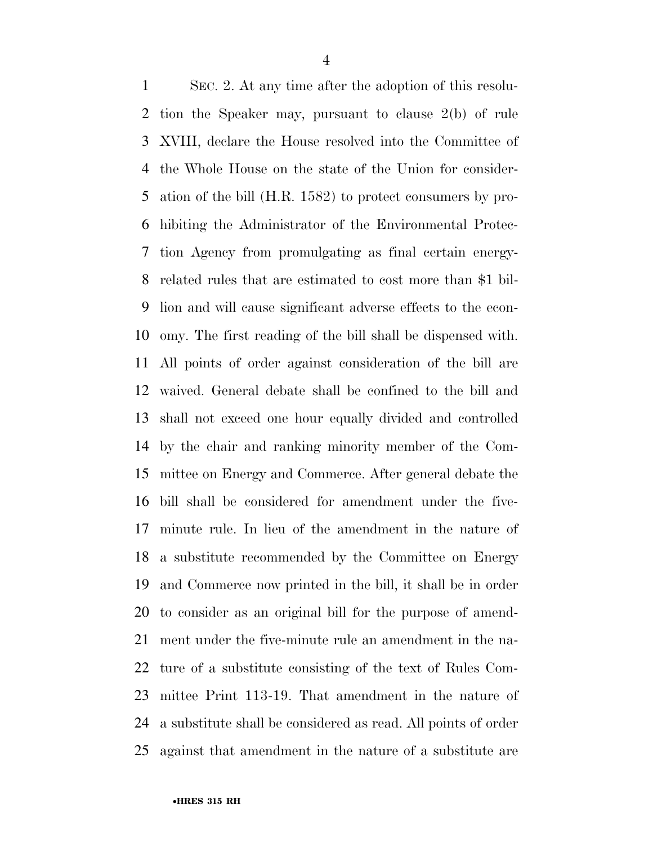SEC. 2. At any time after the adoption of this resolu- tion the Speaker may, pursuant to clause 2(b) of rule XVIII, declare the House resolved into the Committee of the Whole House on the state of the Union for consider- ation of the bill (H.R. 1582) to protect consumers by pro- hibiting the Administrator of the Environmental Protec- tion Agency from promulgating as final certain energy- related rules that are estimated to cost more than \$1 bil- lion and will cause significant adverse effects to the econ- omy. The first reading of the bill shall be dispensed with. All points of order against consideration of the bill are waived. General debate shall be confined to the bill and shall not exceed one hour equally divided and controlled by the chair and ranking minority member of the Com- mittee on Energy and Commerce. After general debate the bill shall be considered for amendment under the five- minute rule. In lieu of the amendment in the nature of a substitute recommended by the Committee on Energy and Commerce now printed in the bill, it shall be in order to consider as an original bill for the purpose of amend- ment under the five-minute rule an amendment in the na- ture of a substitute consisting of the text of Rules Com- mittee Print 113-19. That amendment in the nature of a substitute shall be considered as read. All points of order against that amendment in the nature of a substitute are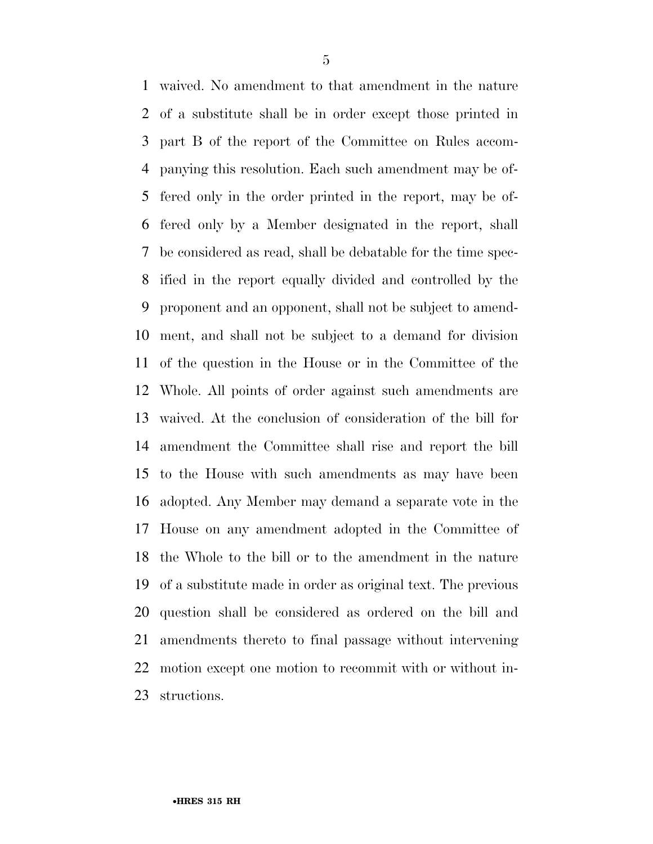waived. No amendment to that amendment in the nature of a substitute shall be in order except those printed in part B of the report of the Committee on Rules accom- panying this resolution. Each such amendment may be of- fered only in the order printed in the report, may be of- fered only by a Member designated in the report, shall be considered as read, shall be debatable for the time spec- ified in the report equally divided and controlled by the proponent and an opponent, shall not be subject to amend- ment, and shall not be subject to a demand for division of the question in the House or in the Committee of the Whole. All points of order against such amendments are waived. At the conclusion of consideration of the bill for amendment the Committee shall rise and report the bill to the House with such amendments as may have been adopted. Any Member may demand a separate vote in the House on any amendment adopted in the Committee of the Whole to the bill or to the amendment in the nature of a substitute made in order as original text. The previous question shall be considered as ordered on the bill and amendments thereto to final passage without intervening motion except one motion to recommit with or without in-structions.